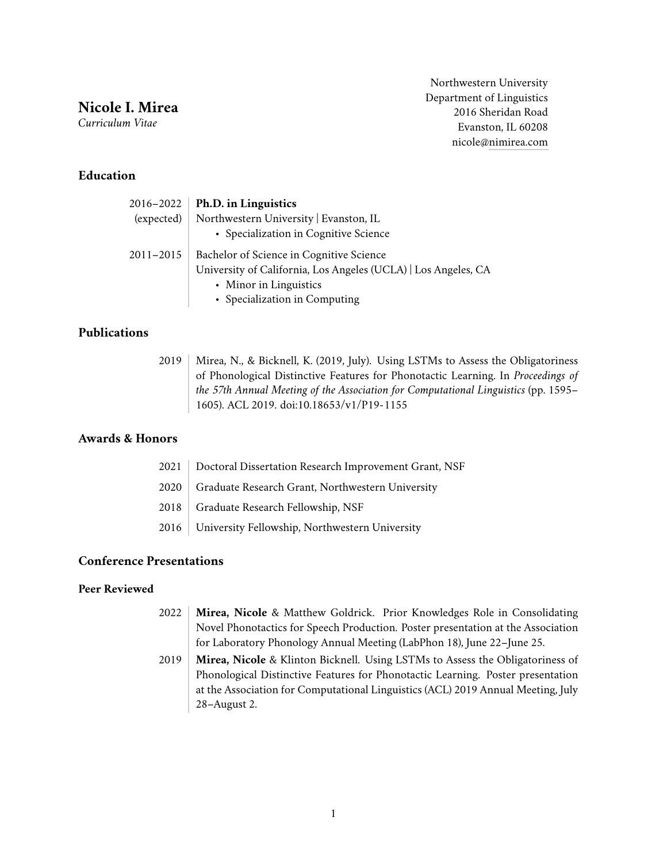**Nicole I. Mirea**

*Curriculum Vitae*

Northwestern University Department of Linguistics 2016 Sheridan Road Evanston, IL 60208 nicole[@nimirea.com](https://www.nimirea.com)

### **Education**

| 2016-2022     | Ph.D. in Linguistics                                           |
|---------------|----------------------------------------------------------------|
| (expected)    | Northwestern University   Evanston, IL                         |
|               | • Specialization in Cognitive Science                          |
| $2011 - 2015$ | Bachelor of Science in Cognitive Science                       |
|               | University of California, Los Angeles (UCLA)   Los Angeles, CA |
|               | • Minor in Linguistics                                         |
|               | • Specialization in Computing                                  |

## **Publications**

2019 | Mirea, N., & Bicknell, K. (2019, July). Using LSTMs to Assess the Obligatoriness of Phonological Distinctive Features for Phonotactic Learning. In *Proceedings of the 57th Annual Meeting of the Association for Computational Linguistics* (pp. 1595– 1605). ACL 2019. doi:10.18653/v1/P19-1155

## **Awards & Honors**

| 2021   Doctoral Dissertation Research Improvement Grant, NSF |
|--------------------------------------------------------------|
| 2020   Graduate Research Grant, Northwestern University      |
| 2018   Graduate Research Fellowship, NSF                     |
| 2016   University Fellowship, Northwestern University        |
|                                                              |

## **Conference Presentations**

#### **Peer Reviewed**

- 2022 **Mirea, Nicole** & Matthew Goldrick. Prior Knowledges Role in Consolidating Novel Phonotactics for Speech Production. Poster presentation at the Association for Laboratory Phonology Annual Meeting (LabPhon 18), June 22–June 25.
- 2019 **Mirea, Nicole** & Klinton Bicknell. Using LSTMs to Assess the Obligatoriness of Phonological Distinctive Features for Phonotactic Learning. Poster presentation at the Association for Computational Linguistics (ACL) 2019 Annual Meeting, July 28–August 2.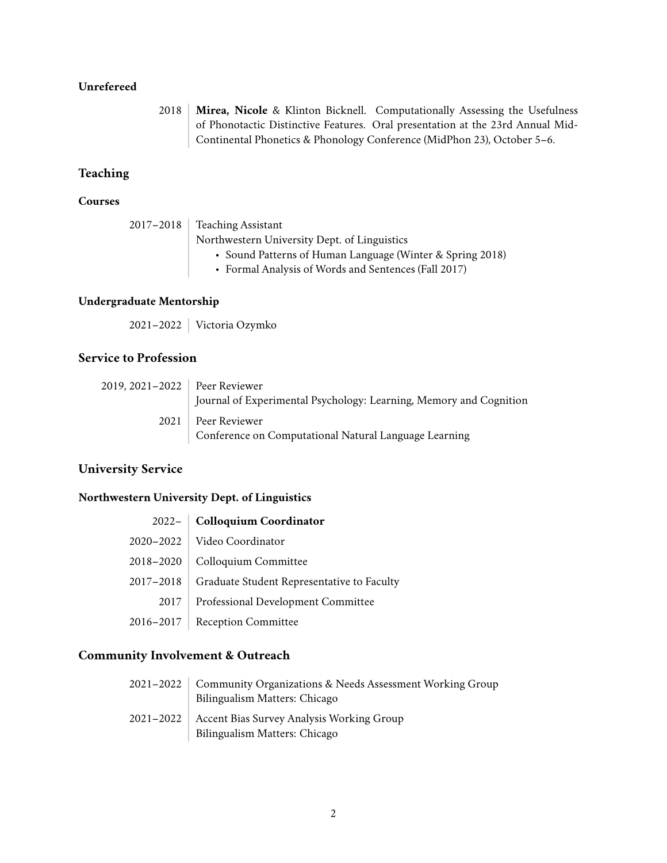#### **Unrefereed**

2018 **Mirea, Nicole** & Klinton Bicknell. Computationally Assessing the Usefulness of Phonotactic Distinctive Features. Oral presentation at the 23rd Annual Mid-Continental Phonetics & Phonology Conference (MidPhon 23), October 5–6.

# **Teaching**

### **Courses**

|  | $2017 - 2018$ Teaching Assistant                          |  |
|--|-----------------------------------------------------------|--|
|  | Northwestern University Dept. of Linguistics              |  |
|  | • Sound Patterns of Human Language (Winter & Spring 2018) |  |
|  | • Formal Analysis of Words and Sentences (Fall 2017)      |  |

#### **Undergraduate Mentorship**

2021–2022 Victoria Ozymko

# **Service to Profession**

| 2019, 2021–2022   Peer Reviewer |                                                                    |
|---------------------------------|--------------------------------------------------------------------|
|                                 | Journal of Experimental Psychology: Learning, Memory and Cognition |
| 2021                            | Peer Reviewer                                                      |
|                                 | Conference on Computational Natural Language Learning              |

#### **University Service**

#### **Northwestern University Dept. of Linguistics**

|               | 2022- Colloquium Coordinator               |
|---------------|--------------------------------------------|
| $2020 - 2022$ | Video Coordinator                          |
| 2018-2020     | Colloquium Committee                       |
| 2017-2018     | Graduate Student Representative to Faculty |
| 2017          | Professional Development Committee         |
| 2016-2017     | <b>Reception Committee</b>                 |

# **Community Involvement & Outreach**

| 2021-2022     | Community Organizations & Needs Assessment Working Group<br>Bilingualism Matters: Chicago |
|---------------|-------------------------------------------------------------------------------------------|
| $2021 - 2022$ | Accent Bias Survey Analysis Working Group<br>Bilingualism Matters: Chicago                |